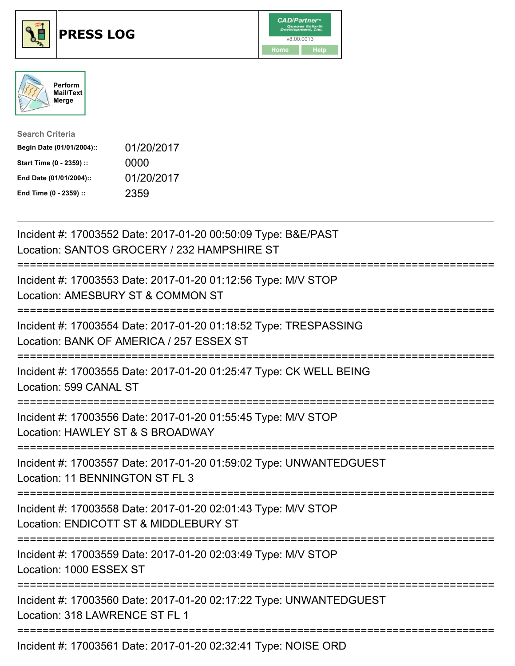





| <b>Search Criteria</b>    |            |
|---------------------------|------------|
| Begin Date (01/01/2004):: | 01/20/2017 |
| Start Time (0 - 2359) ::  | 0000       |
| End Date (01/01/2004)::   | 01/20/2017 |
| End Time (0 - 2359) ::    | 2359       |

| Incident #: 17003552 Date: 2017-01-20 00:50:09 Type: B&E/PAST<br>Location: SANTOS GROCERY / 232 HAMPSHIRE ST               |
|----------------------------------------------------------------------------------------------------------------------------|
| Incident #: 17003553 Date: 2017-01-20 01:12:56 Type: M/V STOP<br>Location: AMESBURY ST & COMMON ST                         |
| Incident #: 17003554 Date: 2017-01-20 01:18:52 Type: TRESPASSING<br>Location: BANK OF AMERICA / 257 ESSEX ST               |
| Incident #: 17003555 Date: 2017-01-20 01:25:47 Type: CK WELL BEING<br>Location: 599 CANAL ST                               |
| Incident #: 17003556 Date: 2017-01-20 01:55:45 Type: M/V STOP<br>Location: HAWLEY ST & S BROADWAY                          |
| Incident #: 17003557 Date: 2017-01-20 01:59:02 Type: UNWANTEDGUEST<br>Location: 11 BENNINGTON ST FL 3<br>-----------       |
| Incident #: 17003558 Date: 2017-01-20 02:01:43 Type: M/V STOP<br>Location: ENDICOTT ST & MIDDLEBURY ST                     |
| ==============================<br>Incident #: 17003559 Date: 2017-01-20 02:03:49 Type: M/V STOP<br>Location: 1000 ESSEX ST |
| ==================<br>Incident #: 17003560 Date: 2017-01-20 02:17:22 Type: UNWANTEDGUEST<br>Location: 318 LAWRENCE ST FL 1 |
| Incident #: 17003561 Date: 2017-01-20 02:32:41 Type: NOISE ORD                                                             |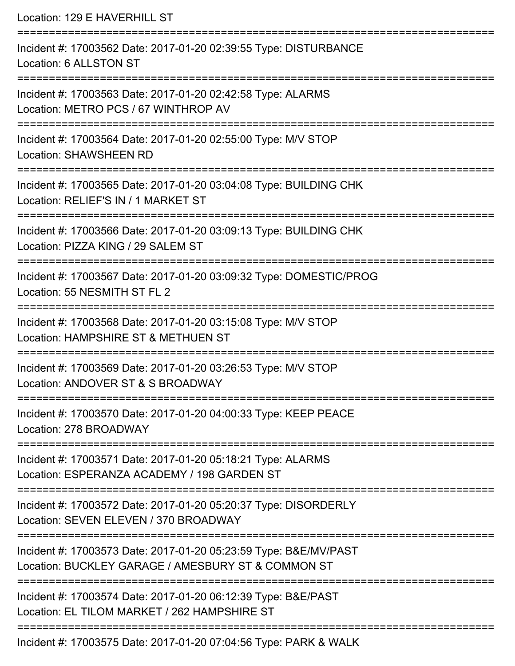Location: 129 E HAVERHILL ST =========================================================================== Incident #: 17003562 Date: 2017-01-20 02:39:55 Type: DISTURBANCE Location: 6 ALLSTON ST =========================================================================== Incident #: 17003563 Date: 2017-01-20 02:42:58 Type: ALARMS Location: METRO PCS / 67 WINTHROP AV =========================================================================== Incident #: 17003564 Date: 2017-01-20 02:55:00 Type: M/V STOP Location: SHAWSHEEN RD =========================================================================== Incident #: 17003565 Date: 2017-01-20 03:04:08 Type: BUILDING CHK Location: RELIEF'S IN / 1 MARKET ST =========================================================================== Incident #: 17003566 Date: 2017-01-20 03:09:13 Type: BUILDING CHK Location: PIZZA KING / 29 SALEM ST =========================================================================== Incident #: 17003567 Date: 2017-01-20 03:09:32 Type: DOMESTIC/PROG Location: 55 NESMITH ST FL 2 =========================================================================== Incident #: 17003568 Date: 2017-01-20 03:15:08 Type: M/V STOP Location: HAMPSHIRE ST & METHUEN ST =========================================================================== Incident #: 17003569 Date: 2017-01-20 03:26:53 Type: M/V STOP Location: ANDOVER ST & S BROADWAY =========================================================================== Incident #: 17003570 Date: 2017-01-20 04:00:33 Type: KEEP PEACE Location: 278 BROADWAY =========================================================================== Incident #: 17003571 Date: 2017-01-20 05:18:21 Type: ALARMS Location: ESPERANZA ACADEMY / 198 GARDEN ST =========================================================================== Incident #: 17003572 Date: 2017-01-20 05:20:37 Type: DISORDERLY Location: SEVEN ELEVEN / 370 BROADWAY =========================================================================== Incident #: 17003573 Date: 2017-01-20 05:23:59 Type: B&E/MV/PAST Location: BUCKLEY GARAGE / AMESBURY ST & COMMON ST =========================================================================== Incident #: 17003574 Date: 2017-01-20 06:12:39 Type: B&E/PAST Location: EL TILOM MARKET / 262 HAMPSHIRE ST =========================================================================== Incident #: 17003575 Date: 2017-01-20 07:04:56 Type: PARK & WALK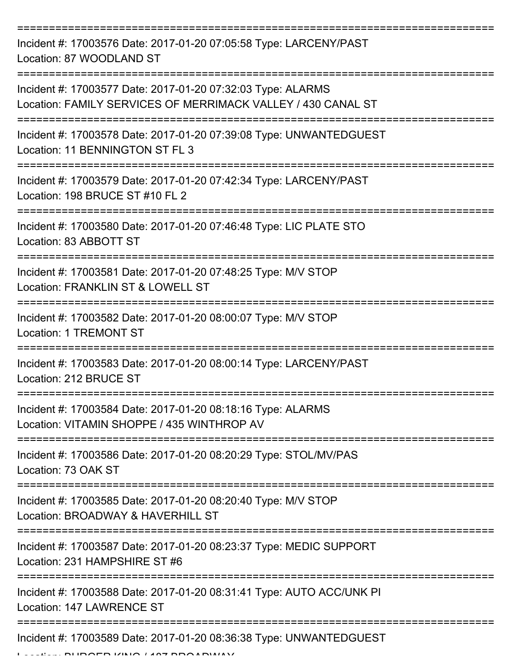=========================================================================== Incident #: 17003576 Date: 2017-01-20 07:05:58 Type: LARCENY/PAST Location: 87 WOODLAND ST =========================================================================== Incident #: 17003577 Date: 2017-01-20 07:32:03 Type: ALARMS Location: FAMILY SERVICES OF MERRIMACK VALLEY / 430 CANAL ST =========================================================================== Incident #: 17003578 Date: 2017-01-20 07:39:08 Type: UNWANTEDGUEST Location: 11 BENNINGTON ST FL 3 =========================================================================== Incident #: 17003579 Date: 2017-01-20 07:42:34 Type: LARCENY/PAST Location: 198 BRUCE ST #10 FL 2 =========================================================================== Incident #: 17003580 Date: 2017-01-20 07:46:48 Type: LIC PLATE STO Location: 83 ABBOTT ST =========================================================================== Incident #: 17003581 Date: 2017-01-20 07:48:25 Type: M/V STOP Location: FRANKLIN ST & LOWELL ST =========================================================================== Incident #: 17003582 Date: 2017-01-20 08:00:07 Type: M/V STOP Location: 1 TREMONT ST =========================================================================== Incident #: 17003583 Date: 2017-01-20 08:00:14 Type: LARCENY/PAST Location: 212 BRUCE ST =========================================================================== Incident #: 17003584 Date: 2017-01-20 08:18:16 Type: ALARMS Location: VITAMIN SHOPPE / 435 WINTHROP AV =========================================================================== Incident #: 17003586 Date: 2017-01-20 08:20:29 Type: STOL/MV/PAS Location: 73 OAK ST =========================================================================== Incident #: 17003585 Date: 2017-01-20 08:20:40 Type: M/V STOP Location: BROADWAY & HAVERHILL ST =========================================================================== Incident #: 17003587 Date: 2017-01-20 08:23:37 Type: MEDIC SUPPORT Location: 231 HAMPSHIRE ST #6 =========================================================================== Incident #: 17003588 Date: 2017-01-20 08:31:41 Type: AUTO ACC/UNK PI Location: 147 LAWRENCE ST =========================================================================== Incident #: 17003589 Date: 2017-01-20 08:36:38 Type: UNWANTEDGUEST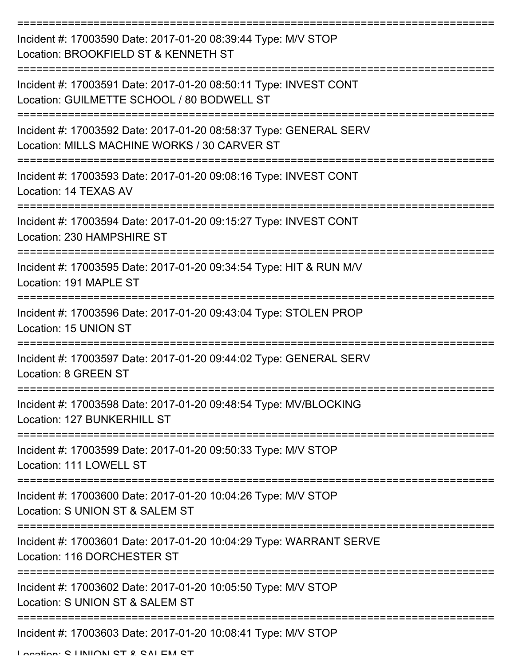| Incident #: 17003590 Date: 2017-01-20 08:39:44 Type: M/V STOP<br>Location: BROOKFIELD ST & KENNETH ST             |
|-------------------------------------------------------------------------------------------------------------------|
| Incident #: 17003591 Date: 2017-01-20 08:50:11 Type: INVEST CONT<br>Location: GUILMETTE SCHOOL / 80 BODWELL ST    |
| Incident #: 17003592 Date: 2017-01-20 08:58:37 Type: GENERAL SERV<br>Location: MILLS MACHINE WORKS / 30 CARVER ST |
| Incident #: 17003593 Date: 2017-01-20 09:08:16 Type: INVEST CONT<br>Location: 14 TEXAS AV                         |
| Incident #: 17003594 Date: 2017-01-20 09:15:27 Type: INVEST CONT<br>Location: 230 HAMPSHIRE ST                    |
| Incident #: 17003595 Date: 2017-01-20 09:34:54 Type: HIT & RUN M/V<br>Location: 191 MAPLE ST                      |
| Incident #: 17003596 Date: 2017-01-20 09:43:04 Type: STOLEN PROP<br>Location: 15 UNION ST                         |
| Incident #: 17003597 Date: 2017-01-20 09:44:02 Type: GENERAL SERV<br>Location: 8 GREEN ST                         |
| Incident #: 17003598 Date: 2017-01-20 09:48:54 Type: MV/BLOCKING<br>Location: 127 BUNKERHILL ST                   |
| Incident #: 17003599 Date: 2017-01-20 09:50:33 Type: M/V STOP<br>Location: 111 LOWELL ST                          |
| Incident #: 17003600 Date: 2017-01-20 10:04:26 Type: M/V STOP<br>Location: S UNION ST & SALEM ST                  |
| Incident #: 17003601 Date: 2017-01-20 10:04:29 Type: WARRANT SERVE<br>Location: 116 DORCHESTER ST                 |
| Incident #: 17003602 Date: 2017-01-20 10:05:50 Type: M/V STOP<br>Location: S UNION ST & SALEM ST                  |
| Incident #: 17003603 Date: 2017-01-20 10:08:41 Type: M/V STOP                                                     |

Location: C LINIION CT & CALEM CT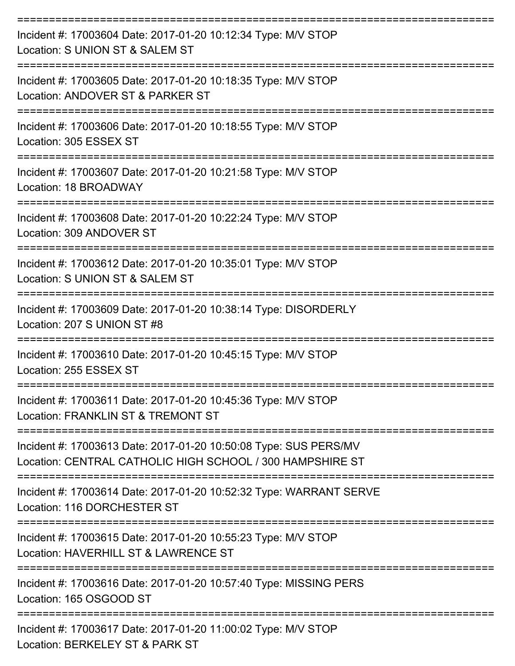| Incident #: 17003604 Date: 2017-01-20 10:12:34 Type: M/V STOP<br>Location: S UNION ST & SALEM ST                              |
|-------------------------------------------------------------------------------------------------------------------------------|
| Incident #: 17003605 Date: 2017-01-20 10:18:35 Type: M/V STOP<br>Location: ANDOVER ST & PARKER ST                             |
| Incident #: 17003606 Date: 2017-01-20 10:18:55 Type: M/V STOP<br>Location: 305 ESSEX ST                                       |
| Incident #: 17003607 Date: 2017-01-20 10:21:58 Type: M/V STOP<br>Location: 18 BROADWAY                                        |
| Incident #: 17003608 Date: 2017-01-20 10:22:24 Type: M/V STOP<br>Location: 309 ANDOVER ST                                     |
| Incident #: 17003612 Date: 2017-01-20 10:35:01 Type: M/V STOP<br>Location: S UNION ST & SALEM ST                              |
| Incident #: 17003609 Date: 2017-01-20 10:38:14 Type: DISORDERLY<br>Location: 207 S UNION ST #8                                |
| Incident #: 17003610 Date: 2017-01-20 10:45:15 Type: M/V STOP<br>Location: 255 ESSEX ST                                       |
| Incident #: 17003611 Date: 2017-01-20 10:45:36 Type: M/V STOP<br>Location: FRANKLIN ST & TREMONT ST                           |
| Incident #: 17003613 Date: 2017-01-20 10:50:08 Type: SUS PERS/MV<br>Location: CENTRAL CATHOLIC HIGH SCHOOL / 300 HAMPSHIRE ST |
| Incident #: 17003614 Date: 2017-01-20 10:52:32 Type: WARRANT SERVE<br>Location: 116 DORCHESTER ST                             |
| Incident #: 17003615 Date: 2017-01-20 10:55:23 Type: M/V STOP<br>Location: HAVERHILL ST & LAWRENCE ST                         |
| Incident #: 17003616 Date: 2017-01-20 10:57:40 Type: MISSING PERS<br>Location: 165 OSGOOD ST                                  |
| Incident #: 17003617 Date: 2017-01-20 11:00:02 Type: M/V STOP<br>Location: BERKELEY ST & PARK ST                              |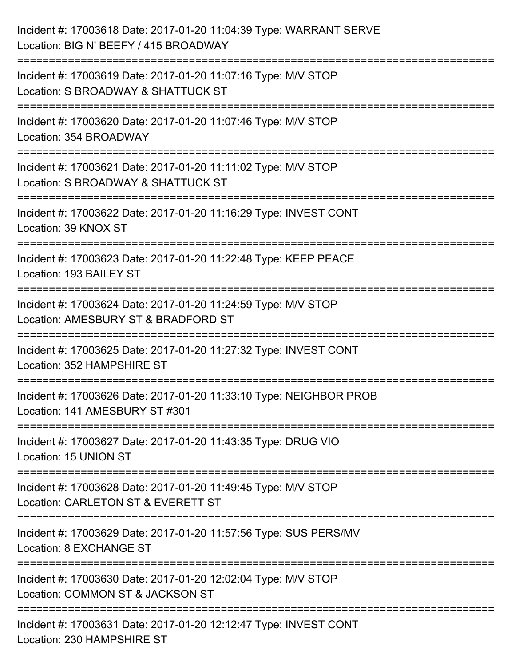| Incident #: 17003618 Date: 2017-01-20 11:04:39 Type: WARRANT SERVE<br>Location: BIG N' BEEFY / 415 BROADWAY                           |
|---------------------------------------------------------------------------------------------------------------------------------------|
| ====================<br>Incident #: 17003619 Date: 2017-01-20 11:07:16 Type: M/V STOP<br>Location: S BROADWAY & SHATTUCK ST           |
| Incident #: 17003620 Date: 2017-01-20 11:07:46 Type: M/V STOP<br>Location: 354 BROADWAY                                               |
| Incident #: 17003621 Date: 2017-01-20 11:11:02 Type: M/V STOP<br>Location: S BROADWAY & SHATTUCK ST                                   |
| Incident #: 17003622 Date: 2017-01-20 11:16:29 Type: INVEST CONT<br>Location: 39 KNOX ST                                              |
| Incident #: 17003623 Date: 2017-01-20 11:22:48 Type: KEEP PEACE<br>Location: 193 BAILEY ST                                            |
| Incident #: 17003624 Date: 2017-01-20 11:24:59 Type: M/V STOP<br>Location: AMESBURY ST & BRADFORD ST                                  |
| Incident #: 17003625 Date: 2017-01-20 11:27:32 Type: INVEST CONT<br>Location: 352 HAMPSHIRE ST                                        |
| Incident #: 17003626 Date: 2017-01-20 11:33:10 Type: NEIGHBOR PROB<br>Location: 141 AMESBURY ST #301                                  |
| Incident #: 17003627 Date: 2017-01-20 11:43:35 Type: DRUG VIO<br>Location: 15 UNION ST                                                |
| ------------------------------<br>Incident #: 17003628 Date: 2017-01-20 11:49:45 Type: M/V STOP<br>Location: CARLETON ST & EVERETT ST |
| Incident #: 17003629 Date: 2017-01-20 11:57:56 Type: SUS PERS/MV<br><b>Location: 8 EXCHANGE ST</b>                                    |
| Incident #: 17003630 Date: 2017-01-20 12:02:04 Type: M/V STOP<br>Location: COMMON ST & JACKSON ST                                     |
| Incident #: 17003631 Date: 2017-01-20 12:12:47 Type: INVEST CONT<br>Location: 230 HAMPSHIRE ST                                        |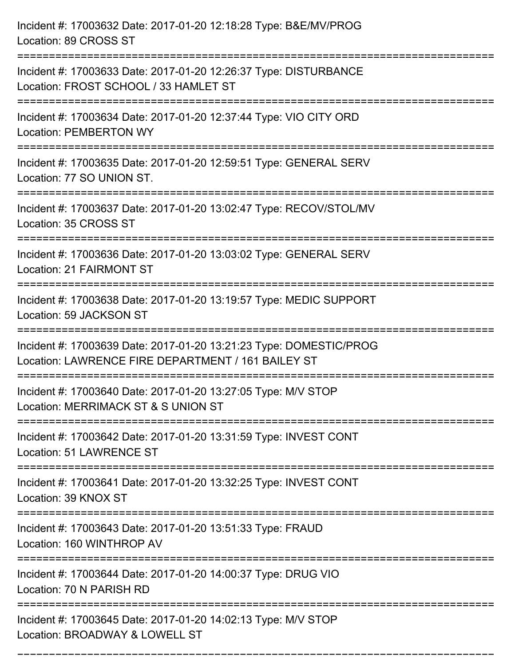| Incident #: 17003632 Date: 2017-01-20 12:18:28 Type: B&E/MV/PROG<br>Location: 89 CROSS ST                                              |
|----------------------------------------------------------------------------------------------------------------------------------------|
| Incident #: 17003633 Date: 2017-01-20 12:26:37 Type: DISTURBANCE<br>Location: FROST SCHOOL / 33 HAMLET ST                              |
| Incident #: 17003634 Date: 2017-01-20 12:37:44 Type: VIO CITY ORD<br><b>Location: PEMBERTON WY</b><br>================================ |
| Incident #: 17003635 Date: 2017-01-20 12:59:51 Type: GENERAL SERV<br>Location: 77 SO UNION ST.                                         |
| Incident #: 17003637 Date: 2017-01-20 13:02:47 Type: RECOV/STOL/MV<br>Location: 35 CROSS ST                                            |
| Incident #: 17003636 Date: 2017-01-20 13:03:02 Type: GENERAL SERV<br>Location: 21 FAIRMONT ST                                          |
| Incident #: 17003638 Date: 2017-01-20 13:19:57 Type: MEDIC SUPPORT<br>Location: 59 JACKSON ST                                          |
| Incident #: 17003639 Date: 2017-01-20 13:21:23 Type: DOMESTIC/PROG<br>Location: LAWRENCE FIRE DEPARTMENT / 161 BAILEY ST               |
| Incident #: 17003640 Date: 2017-01-20 13:27:05 Type: M/V STOP<br>Location: MERRIMACK ST & S UNION ST                                   |
| Incident #: 17003642 Date: 2017-01-20 13:31:59 Type: INVEST CONT<br>Location: 51 LAWRENCE ST                                           |
| Incident #: 17003641 Date: 2017-01-20 13:32:25 Type: INVEST CONT<br>Location: 39 KNOX ST                                               |
| Incident #: 17003643 Date: 2017-01-20 13:51:33 Type: FRAUD<br>Location: 160 WINTHROP AV                                                |
| Incident #: 17003644 Date: 2017-01-20 14:00:37 Type: DRUG VIO<br>Location: 70 N PARISH RD                                              |
| Incident #: 17003645 Date: 2017-01-20 14:02:13 Type: M/V STOP<br>Location: BROADWAY & LOWELL ST                                        |

===========================================================================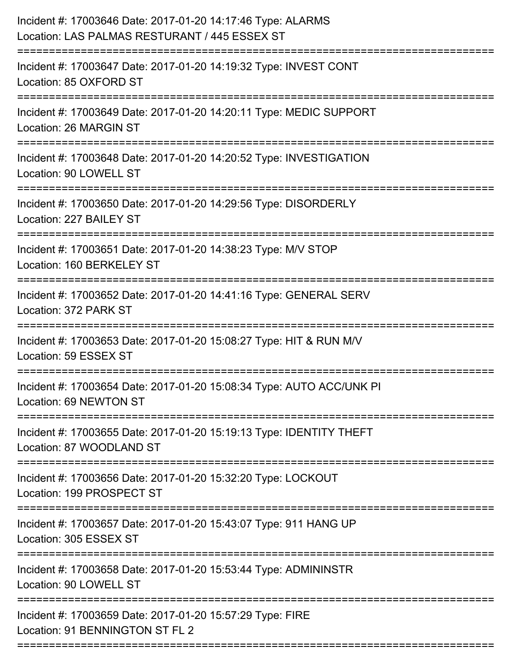| Incident #: 17003646 Date: 2017-01-20 14:17:46 Type: ALARMS<br>Location: LAS PALMAS RESTURANT / 445 ESSEX ST |
|--------------------------------------------------------------------------------------------------------------|
| Incident #: 17003647 Date: 2017-01-20 14:19:32 Type: INVEST CONT<br>Location: 85 OXFORD ST                   |
| Incident #: 17003649 Date: 2017-01-20 14:20:11 Type: MEDIC SUPPORT<br>Location: 26 MARGIN ST                 |
| Incident #: 17003648 Date: 2017-01-20 14:20:52 Type: INVESTIGATION<br>Location: 90 LOWELL ST                 |
| Incident #: 17003650 Date: 2017-01-20 14:29:56 Type: DISORDERLY<br>Location: 227 BAILEY ST                   |
| Incident #: 17003651 Date: 2017-01-20 14:38:23 Type: M/V STOP<br>Location: 160 BERKELEY ST                   |
| Incident #: 17003652 Date: 2017-01-20 14:41:16 Type: GENERAL SERV<br>Location: 372 PARK ST                   |
| Incident #: 17003653 Date: 2017-01-20 15:08:27 Type: HIT & RUN M/V<br>Location: 59 ESSEX ST                  |
| Incident #: 17003654 Date: 2017-01-20 15:08:34 Type: AUTO ACC/UNK PI<br>Location: 69 NEWTON ST               |
| Incident #: 17003655 Date: 2017-01-20 15:19:13 Type: IDENTITY THEFT<br>Location: 87 WOODLAND ST              |
| Incident #: 17003656 Date: 2017-01-20 15:32:20 Type: LOCKOUT<br>Location: 199 PROSPECT ST                    |
| Incident #: 17003657 Date: 2017-01-20 15:43:07 Type: 911 HANG UP<br>Location: 305 ESSEX ST                   |
| Incident #: 17003658 Date: 2017-01-20 15:53:44 Type: ADMININSTR<br>Location: 90 LOWELL ST                    |
| Incident #: 17003659 Date: 2017-01-20 15:57:29 Type: FIRE<br>Location: 91 BENNINGTON ST FL 2                 |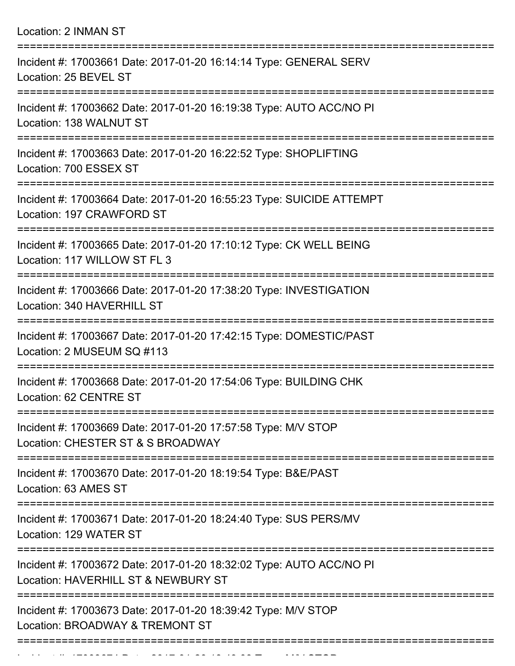| <b>Location: 2 INMAN ST</b>                                                                                |
|------------------------------------------------------------------------------------------------------------|
| Incident #: 17003661 Date: 2017-01-20 16:14:14 Type: GENERAL SERV<br>Location: 25 BEVEL ST                 |
| Incident #: 17003662 Date: 2017-01-20 16:19:38 Type: AUTO ACC/NO PI<br>Location: 138 WALNUT ST             |
| Incident #: 17003663 Date: 2017-01-20 16:22:52 Type: SHOPLIFTING<br>Location: 700 ESSEX ST                 |
| Incident #: 17003664 Date: 2017-01-20 16:55:23 Type: SUICIDE ATTEMPT<br>Location: 197 CRAWFORD ST          |
| Incident #: 17003665 Date: 2017-01-20 17:10:12 Type: CK WELL BEING<br>Location: 117 WILLOW ST FL 3         |
| Incident #: 17003666 Date: 2017-01-20 17:38:20 Type: INVESTIGATION<br>Location: 340 HAVERHILL ST           |
| Incident #: 17003667 Date: 2017-01-20 17:42:15 Type: DOMESTIC/PAST<br>Location: 2 MUSEUM SQ #113           |
| Incident #: 17003668 Date: 2017-01-20 17:54:06 Type: BUILDING CHK<br>Location: 62 CENTRE ST                |
| Incident #: 17003669 Date: 2017-01-20 17:57:58 Type: M/V STOP<br>Location: CHESTER ST & S BROADWAY         |
| Incident #: 17003670 Date: 2017-01-20 18:19:54 Type: B&E/PAST<br>Location: 63 AMES ST                      |
| Incident #: 17003671 Date: 2017-01-20 18:24:40 Type: SUS PERS/MV<br>Location: 129 WATER ST                 |
| Incident #: 17003672 Date: 2017-01-20 18:32:02 Type: AUTO ACC/NO PI<br>Location: HAVERHILL ST & NEWBURY ST |
| Incident #: 17003673 Date: 2017-01-20 18:39:42 Type: M/V STOP<br>Location: BROADWAY & TREMONT ST           |
|                                                                                                            |

Incident #: 17003674 Date: 2017 01 2017 01 2017 01 2017 0202<br>.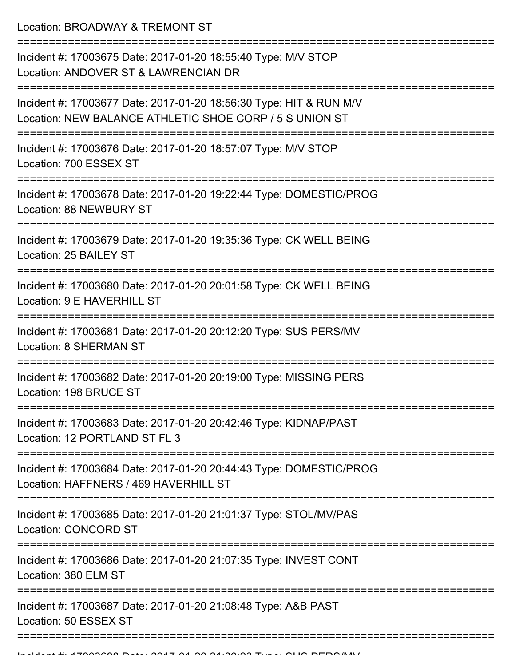Location: BROADWAY & TREMONT ST

| Incident #: 17003675 Date: 2017-01-20 18:55:40 Type: M/V STOP<br>Location: ANDOVER ST & LAWRENCIAN DR                         |
|-------------------------------------------------------------------------------------------------------------------------------|
| Incident #: 17003677 Date: 2017-01-20 18:56:30 Type: HIT & RUN M/V<br>Location: NEW BALANCE ATHLETIC SHOE CORP / 5 S UNION ST |
| Incident #: 17003676 Date: 2017-01-20 18:57:07 Type: M/V STOP<br>Location: 700 ESSEX ST                                       |
| Incident #: 17003678 Date: 2017-01-20 19:22:44 Type: DOMESTIC/PROG<br>Location: 88 NEWBURY ST                                 |
| Incident #: 17003679 Date: 2017-01-20 19:35:36 Type: CK WELL BEING<br>Location: 25 BAILEY ST                                  |
| Incident #: 17003680 Date: 2017-01-20 20:01:58 Type: CK WELL BEING<br>Location: 9 E HAVERHILL ST                              |
| Incident #: 17003681 Date: 2017-01-20 20:12:20 Type: SUS PERS/MV<br><b>Location: 8 SHERMAN ST</b>                             |
| Incident #: 17003682 Date: 2017-01-20 20:19:00 Type: MISSING PERS<br>Location: 198 BRUCE ST                                   |
| Incident #: 17003683 Date: 2017-01-20 20:42:46 Type: KIDNAP/PAST<br>Location: 12 PORTLAND ST FL 3                             |
| Incident #: 17003684 Date: 2017-01-20 20:44:43 Type: DOMESTIC/PROG<br>Location: HAFFNERS / 469 HAVERHILL ST                   |
| Incident #: 17003685 Date: 2017-01-20 21:01:37 Type: STOL/MV/PAS<br><b>Location: CONCORD ST</b>                               |
| Incident #: 17003686 Date: 2017-01-20 21:07:35 Type: INVEST CONT<br>Location: 380 ELM ST                                      |
| Incident #: 17003687 Date: 2017-01-20 21:08:48 Type: A&B PAST<br>Location: 50 ESSEX ST                                        |
|                                                                                                                               |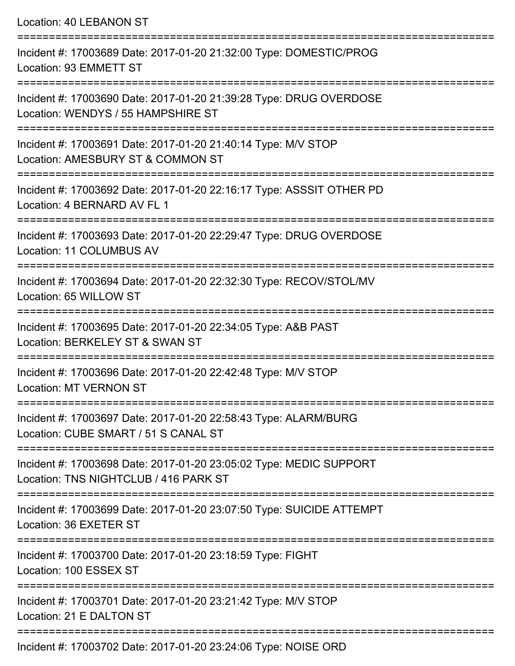Location: 40 LEBANON ST

=========================================================================== Incident #: 17003689 Date: 2017-01-20 21:32:00 Type: DOMESTIC/PROG Location: 93 EMMETT ST =========================================================================== Incident #: 17003690 Date: 2017-01-20 21:39:28 Type: DRUG OVERDOSE Location: WENDYS / 55 HAMPSHIRE ST =========================================================================== Incident #: 17003691 Date: 2017-01-20 21:40:14 Type: M/V STOP Location: AMESBURY ST & COMMON ST =========================================================================== Incident #: 17003692 Date: 2017-01-20 22:16:17 Type: ASSSIT OTHER PD Location: 4 BERNARD AV FL 1 =========================================================================== Incident #: 17003693 Date: 2017-01-20 22:29:47 Type: DRUG OVERDOSE Location: 11 COLUMBUS AV =========================================================================== Incident #: 17003694 Date: 2017-01-20 22:32:30 Type: RECOV/STOL/MV Location: 65 WILLOW ST =========================================================================== Incident #: 17003695 Date: 2017-01-20 22:34:05 Type: A&B PAST Location: BERKELEY ST & SWAN ST =========================================================================== Incident #: 17003696 Date: 2017-01-20 22:42:48 Type: M/V STOP Location: MT VERNON ST =========================================================================== Incident #: 17003697 Date: 2017-01-20 22:58:43 Type: ALARM/BURG Location: CUBE SMART / 51 S CANAL ST =========================================================================== Incident #: 17003698 Date: 2017-01-20 23:05:02 Type: MEDIC SUPPORT Location: TNS NIGHTCLUB / 416 PARK ST =========================================================================== Incident #: 17003699 Date: 2017-01-20 23:07:50 Type: SUICIDE ATTEMPT Location: 36 EXETER ST =========================================================================== Incident #: 17003700 Date: 2017-01-20 23:18:59 Type: FIGHT Location: 100 ESSEX ST =========================================================================== Incident #: 17003701 Date: 2017-01-20 23:21:42 Type: M/V STOP Location: 21 F DAI TON ST =========================================================================== Incident #: 17003702 Date: 2017-01-20 23:24:06 Type: NOISE ORD